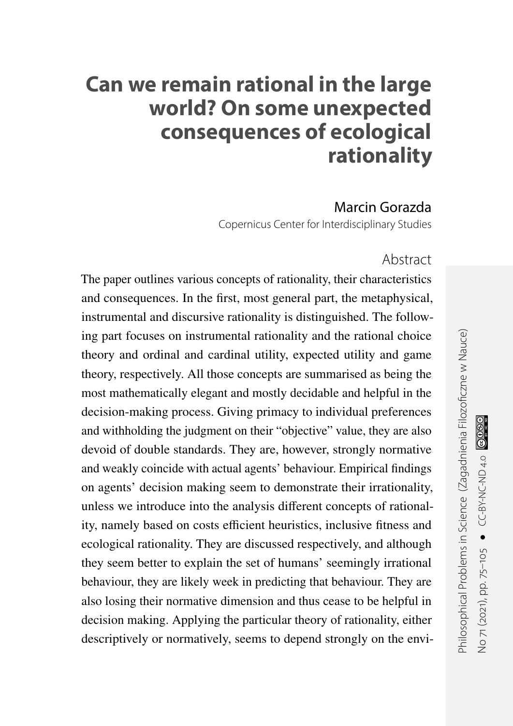# **Can we remain rational in the large world? On some unexpected consequences of ecological rationality**

Marcin Gorazda

Copernicus Center for Interdisciplinary Studies

#### Abstract

The paper outlines various concepts of rationality, their characteristics and consequences. In the first, most general part, the metaphysical, instrumental and discursive rationality is distinguished. The following part focuses on instrumental rationality and the rational choice theory and ordinal and cardinal utility, expected utility and game theory, respectively. All those concepts are summarised as being the most mathematically elegant and mostly decidable and helpful in the decision-making process. Giving primacy to individual preferences and withholding the judgment on their "objective" value, they are also devoid of double standards. They are, however, strongly normative and weakly coincide with actual agents' behaviour. Empirical findings on agents' decision making seem to demonstrate their irrationality, unless we introduce into the analysis different concepts of rationality, namely based on costs efficient heuristics, inclusive fitness and ecological rationality. They are discussed respectively, and although they seem better to explain the set of humans' seemingly irrational behaviour, they are likely week in predicting that behaviour. They are also losing their normative dimension and thus cease to be helpful in decision making. Applying the particular theory of rationality, either descriptively or normatively, seems to depend strongly on the envi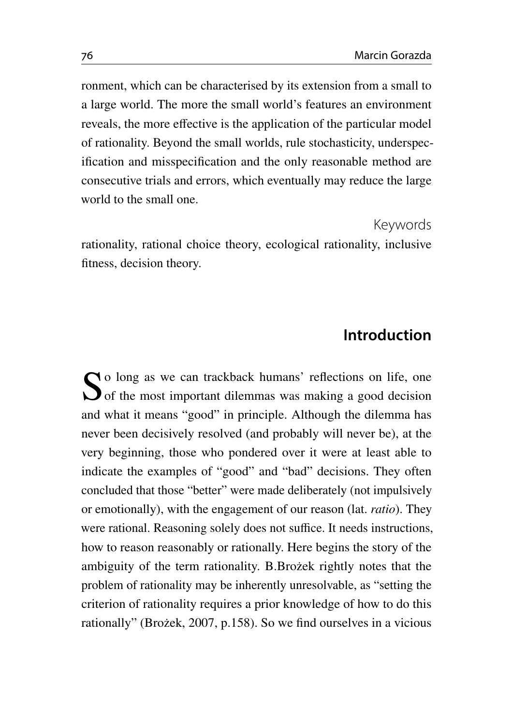ronment, which can be characterised by its extension from a small to a large world. The more the small world's features an environment reveals, the more effective is the application of the particular model of rationality. Beyond the small worlds, rule stochasticity, underspecification and misspecification and the only reasonable method are consecutive trials and errors, which eventually may reduce the large world to the small one.

Keywords

rationality, rational choice theory, ecological rationality, inclusive fitness, decision theory.

#### **Introduction**

So long as we can trackback humans' reflections on life, one<br>Sof the most important dilemmas was making a good decision o long as we can trackback humans' reflections on life, one and what it means "good" in principle. Although the dilemma has never been decisively resolved (and probably will never be), at the very beginning, those who pondered over it were at least able to indicate the examples of "good" and "bad" decisions. They often concluded that those "better" were made deliberately (not impulsively or emotionally), with the engagement of our reason (lat. *ratio*). They were rational. Reasoning solely does not suffice. It needs instructions, how to reason reasonably or rationally. Here begins the story of the ambiguity of the term rationality. B.Brożek rightly notes that the problem of rationality may be inherently unresolvable, as "setting the criterion of rationality requires a prior knowledge of how to do this rationally" (Brożek, [2007,](#page-25-0) p.158). So we find ourselves in a vicious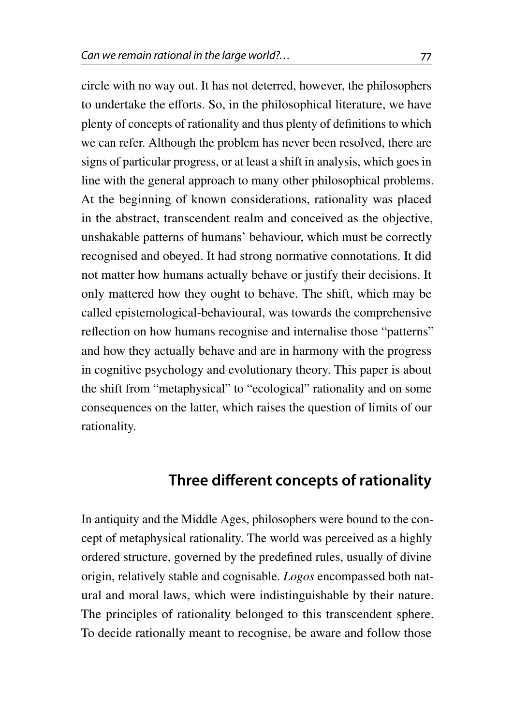circle with no way out. It has not deterred, however, the philosophers to undertake the efforts. So, in the philosophical literature, we have plenty of concepts of rationality and thus plenty of definitions to which we can refer. Although the problem has never been resolved, there are signs of particular progress, or at least a shift in analysis, which goes in line with the general approach to many other philosophical problems. At the beginning of known considerations, rationality was placed in the abstract, transcendent realm and conceived as the objective, unshakable patterns of humans' behaviour, which must be correctly recognised and obeyed. It had strong normative connotations. It did not matter how humans actually behave or justify their decisions. It only mattered how they ought to behave. The shift, which may be called epistemological-behavioural, was towards the comprehensive reflection on how humans recognise and internalise those "patterns" and how they actually behave and are in harmony with the progress in cognitive psychology and evolutionary theory. This paper is about the shift from "metaphysical" to "ecological" rationality and on some consequences on the latter, which raises the question of limits of our rationality.

# **Three different concepts of rationality**

In antiquity and the Middle Ages, philosophers were bound to the concept of metaphysical rationality. The world was perceived as a highly ordered structure, governed by the predefined rules, usually of divine origin, relatively stable and cognisable. *Logos* encompassed both natural and moral laws, which were indistinguishable by their nature. The principles of rationality belonged to this transcendent sphere. To decide rationally meant to recognise, be aware and follow those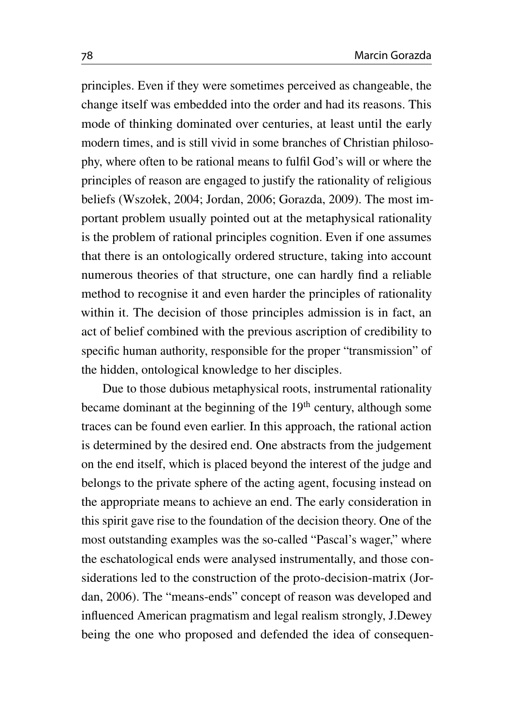principles. Even if they were sometimes perceived as changeable, the change itself was embedded into the order and had its reasons. This mode of thinking dominated over centuries, at least until the early modern times, and is still vivid in some branches of Christian philosophy, where often to be rational means to fulfil God's will or where the principles of reason are engaged to justify the rationality of religious beliefs (Wszołek, [2004;](#page-30-0) Jordan, [2006;](#page-27-0) Gorazda, [2009\)](#page-26-0). The most important problem usually pointed out at the metaphysical rationality is the problem of rational principles cognition. Even if one assumes that there is an ontologically ordered structure, taking into account numerous theories of that structure, one can hardly find a reliable method to recognise it and even harder the principles of rationality within it. The decision of those principles admission is in fact, an act of belief combined with the previous ascription of credibility to specific human authority, responsible for the proper "transmission" of the hidden, ontological knowledge to her disciples.

Due to those dubious metaphysical roots, instrumental rationality became dominant at the beginning of the  $19<sup>th</sup>$  century, although some traces can be found even earlier. In this approach, the rational action is determined by the desired end. One abstracts from the judgement on the end itself, which is placed beyond the interest of the judge and belongs to the private sphere of the acting agent, focusing instead on the appropriate means to achieve an end. The early consideration in this spirit gave rise to the foundation of the decision theory. One of the most outstanding examples was the so-called "Pascal's wager," where the eschatological ends were analysed instrumentally, and those considerations led to the construction of the proto-decision-matrix (Jordan, [2006\)](#page-27-0). The "means-ends" concept of reason was developed and influenced American pragmatism and legal realism strongly, J.Dewey being the one who proposed and defended the idea of consequen-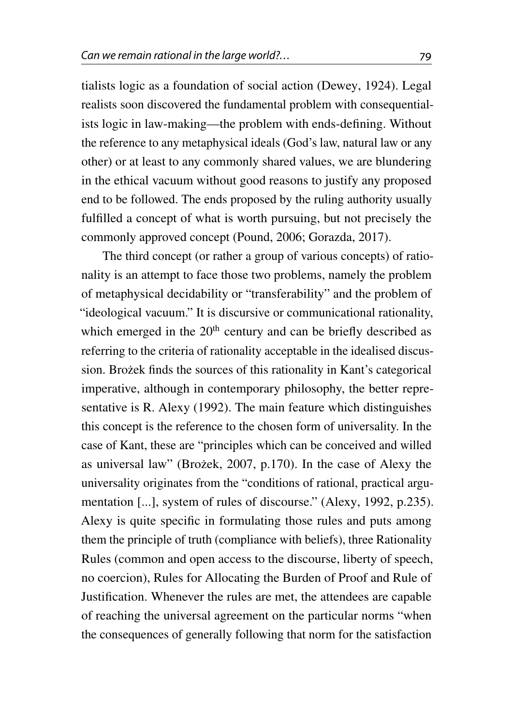tialists logic as a foundation of social action (Dewey, [1924\)](#page-26-1). Legal realists soon discovered the fundamental problem with consequentialists logic in law-making—the problem with ends-defining. Without the reference to any metaphysical ideals (God's law, natural law or any other) or at least to any commonly shared values, we are blundering in the ethical vacuum without good reasons to justify any proposed end to be followed. The ends proposed by the ruling authority usually fulfilled a concept of what is worth pursuing, but not precisely the commonly approved concept (Pound, [2006;](#page-28-0) Gorazda, [2017\)](#page-26-2).

The third concept (or rather a group of various concepts) of rationality is an attempt to face those two problems, namely the problem of metaphysical decidability or "transferability" and the problem of "ideological vacuum." It is discursive or communicational rationality, which emerged in the 20<sup>th</sup> century and can be briefly described as referring to the criteria of rationality acceptable in the idealised discussion. Brożek finds the sources of this rationality in Kant's categorical imperative, although in contemporary philosophy, the better representative is R. Alexy [\(1992\)](#page-25-1). The main feature which distinguishes this concept is the reference to the chosen form of universality. In the case of Kant, these are "principles which can be conceived and willed as universal law" (Brożek, [2007,](#page-25-0) p.170). In the case of Alexy the universality originates from the "conditions of rational, practical argumentation [...], system of rules of discourse." (Alexy, [1992,](#page-25-1) p.235). Alexy is quite specific in formulating those rules and puts among them the principle of truth (compliance with beliefs), three Rationality Rules (common and open access to the discourse, liberty of speech, no coercion), Rules for Allocating the Burden of Proof and Rule of Justification. Whenever the rules are met, the attendees are capable of reaching the universal agreement on the particular norms "when the consequences of generally following that norm for the satisfaction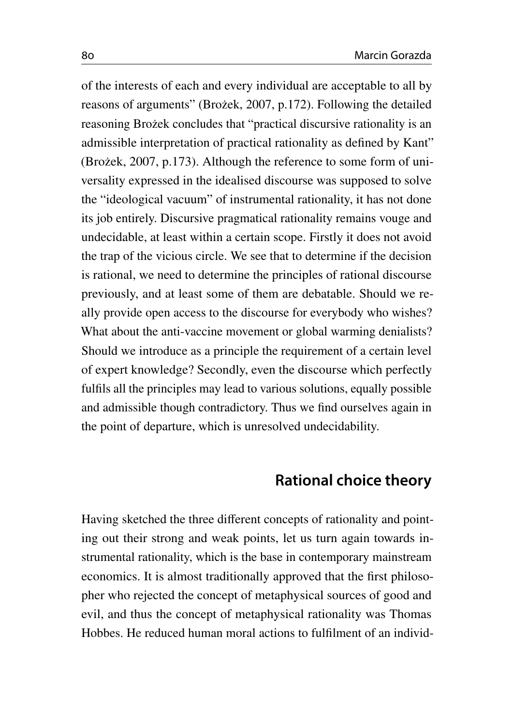of the interests of each and every individual are acceptable to all by reasons of arguments" (Brożek, [2007,](#page-25-0) p.172). Following the detailed reasoning Brożek concludes that "practical discursive rationality is an admissible interpretation of practical rationality as defined by Kant" (Brożek, [2007,](#page-25-0) p.173). Although the reference to some form of universality expressed in the idealised discourse was supposed to solve the "ideological vacuum" of instrumental rationality, it has not done its job entirely. Discursive pragmatical rationality remains vouge and undecidable, at least within a certain scope. Firstly it does not avoid the trap of the vicious circle. We see that to determine if the decision is rational, we need to determine the principles of rational discourse previously, and at least some of them are debatable. Should we really provide open access to the discourse for everybody who wishes? What about the anti-vaccine movement or global warming denialists? Should we introduce as a principle the requirement of a certain level of expert knowledge? Secondly, even the discourse which perfectly fulfils all the principles may lead to various solutions, equally possible and admissible though contradictory. Thus we find ourselves again in the point of departure, which is unresolved undecidability.

# **Rational choice theory**

Having sketched the three different concepts of rationality and pointing out their strong and weak points, let us turn again towards instrumental rationality, which is the base in contemporary mainstream economics. It is almost traditionally approved that the first philosopher who rejected the concept of metaphysical sources of good and evil, and thus the concept of metaphysical rationality was Thomas Hobbes. He reduced human moral actions to fulfilment of an individ-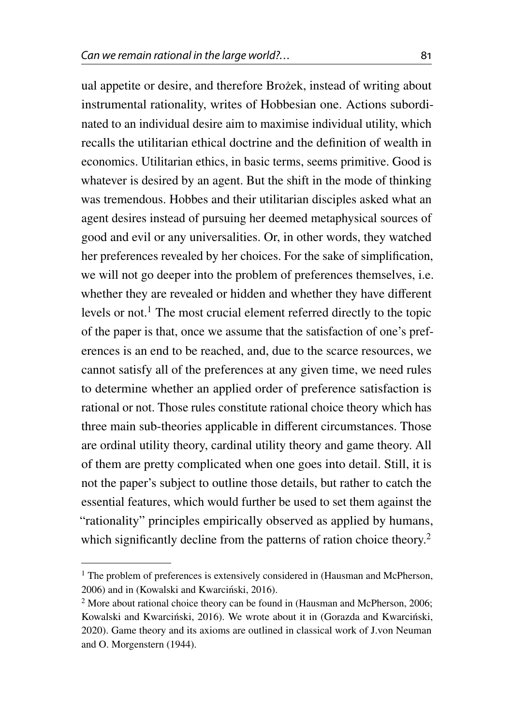ual appetite or desire, and therefore Brożek, instead of writing about instrumental rationality, writes of Hobbesian one. Actions subordinated to an individual desire aim to maximise individual utility, which recalls the utilitarian ethical doctrine and the definition of wealth in economics. Utilitarian ethics, in basic terms, seems primitive. Good is whatever is desired by an agent. But the shift in the mode of thinking was tremendous. Hobbes and their utilitarian disciples asked what an agent desires instead of pursuing her deemed metaphysical sources of good and evil or any universalities. Or, in other words, they watched her preferences revealed by her choices. For the sake of simplification, we will not go deeper into the problem of preferences themselves, i.e. whether they are revealed or hidden and whether they have different levels or not.<sup>[1](#page-6-0)</sup> The most crucial element referred directly to the topic of the paper is that, once we assume that the satisfaction of one's preferences is an end to be reached, and, due to the scarce resources, we cannot satisfy all of the preferences at any given time, we need rules to determine whether an applied order of preference satisfaction is rational or not. Those rules constitute rational choice theory which has three main sub-theories applicable in different circumstances. Those are ordinal utility theory, cardinal utility theory and game theory. All of them are pretty complicated when one goes into detail. Still, it is not the paper's subject to outline those details, but rather to catch the essential features, which would further be used to set them against the "rationality" principles empirically observed as applied by humans,

which significantly decline from the patterns of ration choice theory.<sup>[2](#page-6-1)</sup>

<span id="page-6-0"></span><sup>&</sup>lt;sup>1</sup> The problem of preferences is extensively considered in (Hausman and McPherson, [2006\)](#page-27-1) and in (Kowalski and Kwarciński, [2016\)](#page-28-1).

<span id="page-6-1"></span><sup>&</sup>lt;sup>2</sup> More about rational choice theory can be found in (Hausman and McPherson, [2006;](#page-27-1) Kowalski and Kwarciński, [2016\)](#page-28-1). We wrote about it in (Gorazda and Kwarciński, [2020\)](#page-27-2). Game theory and its axioms are outlined in classical work of J.von Neuman and O. Morgenstern [\(1944\)](#page-29-0).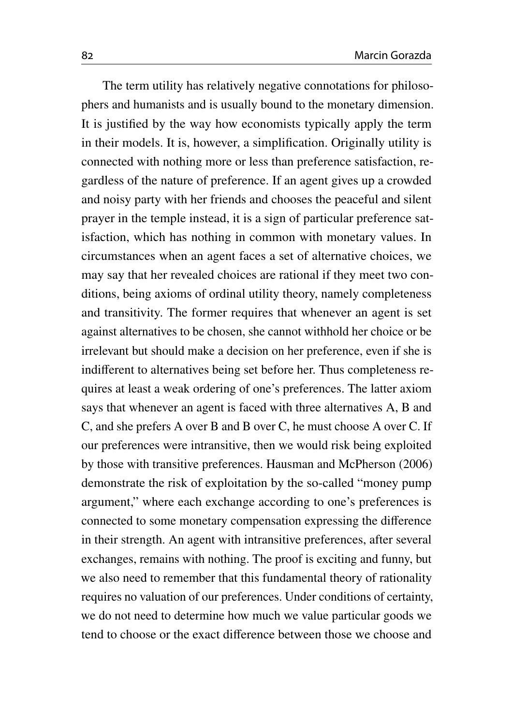The term utility has relatively negative connotations for philosophers and humanists and is usually bound to the monetary dimension. It is justified by the way how economists typically apply the term in their models. It is, however, a simplification. Originally utility is connected with nothing more or less than preference satisfaction, regardless of the nature of preference. If an agent gives up a crowded and noisy party with her friends and chooses the peaceful and silent prayer in the temple instead, it is a sign of particular preference satisfaction, which has nothing in common with monetary values. In circumstances when an agent faces a set of alternative choices, we may say that her revealed choices are rational if they meet two conditions, being axioms of ordinal utility theory, namely completeness and transitivity. The former requires that whenever an agent is set against alternatives to be chosen, she cannot withhold her choice or be irrelevant but should make a decision on her preference, even if she is indifferent to alternatives being set before her. Thus completeness requires at least a weak ordering of one's preferences. The latter axiom says that whenever an agent is faced with three alternatives A, B and C, and she prefers A over B and B over C, he must choose A over C. If our preferences were intransitive, then we would risk being exploited by those with transitive preferences. Hausman and McPherson [\(2006\)](#page-27-1) demonstrate the risk of exploitation by the so-called "money pump argument," where each exchange according to one's preferences is connected to some monetary compensation expressing the difference in their strength. An agent with intransitive preferences, after several exchanges, remains with nothing. The proof is exciting and funny, but we also need to remember that this fundamental theory of rationality requires no valuation of our preferences. Under conditions of certainty, we do not need to determine how much we value particular goods we tend to choose or the exact difference between those we choose and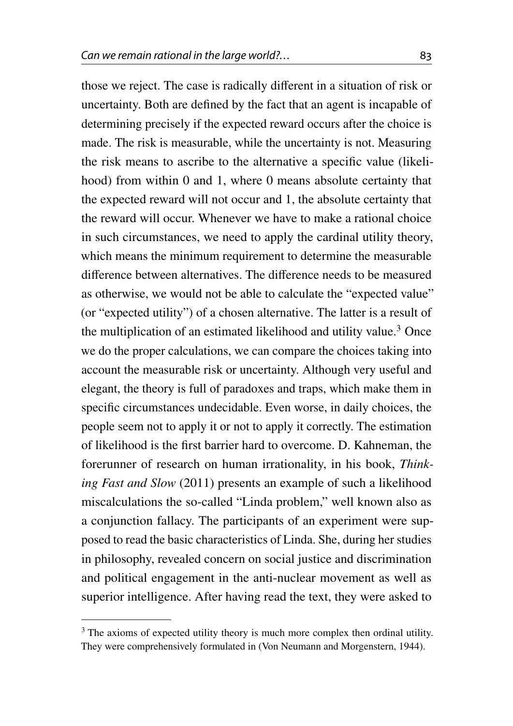those we reject. The case is radically different in a situation of risk or uncertainty. Both are defined by the fact that an agent is incapable of determining precisely if the expected reward occurs after the choice is made. The risk is measurable, while the uncertainty is not. Measuring the risk means to ascribe to the alternative a specific value (likelihood) from within 0 and 1, where 0 means absolute certainty that the expected reward will not occur and 1, the absolute certainty that the reward will occur. Whenever we have to make a rational choice in such circumstances, we need to apply the cardinal utility theory, which means the minimum requirement to determine the measurable difference between alternatives. The difference needs to be measured as otherwise, we would not be able to calculate the "expected value" (or "expected utility") of a chosen alternative. The latter is a result of the multiplication of an estimated likelihood and utility value.<sup>[3](#page-8-0)</sup> Once we do the proper calculations, we can compare the choices taking into account the measurable risk or uncertainty. Although very useful and elegant, the theory is full of paradoxes and traps, which make them in specific circumstances undecidable. Even worse, in daily choices, the people seem not to apply it or not to apply it correctly. The estimation of likelihood is the first barrier hard to overcome. D. Kahneman, the forerunner of research on human irrationality, in his book, *Thinking Fast and Slow* [\(2011\)](#page-27-3) presents an example of such a likelihood miscalculations the so-called "Linda problem," well known also as a conjunction fallacy. The participants of an experiment were supposed to read the basic characteristics of Linda. She, during her studies in philosophy, revealed concern on social justice and discrimination and political engagement in the anti-nuclear movement as well as superior intelligence. After having read the text, they were asked to

<span id="page-8-0"></span><sup>&</sup>lt;sup>3</sup> The axioms of expected utility theory is much more complex then ordinal utility. They were comprehensively formulated in (Von Neumann and Morgenstern, [1944\)](#page-29-0).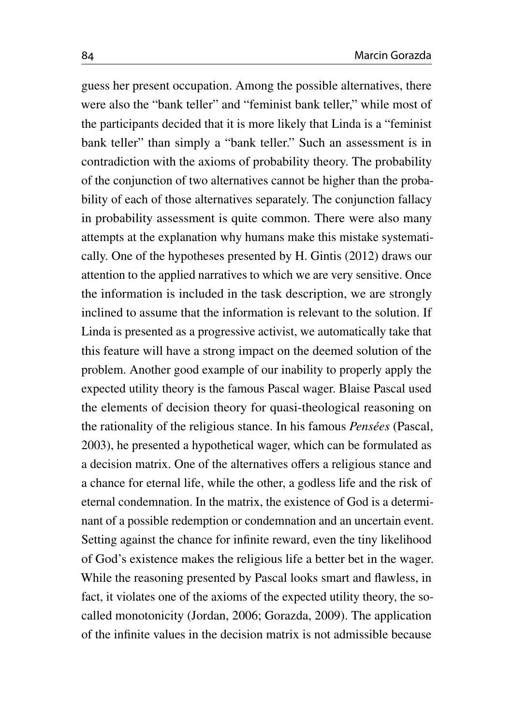guess her present occupation. Among the possible alternatives, there were also the "bank teller" and "feminist bank teller," while most of the participants decided that it is more likely that Linda is a "feminist bank teller" than simply a "bank teller." Such an assessment is in contradiction with the axioms of probability theory. The probability of the conjunction of two alternatives cannot be higher than the probability of each of those alternatives separately. The conjunction fallacy in probability assessment is quite common. There were also many attempts at the explanation why humans make this mistake systematically. One of the hypotheses presented by H. Gintis [\(2012\)](#page-26-3) draws our attention to the applied narratives to which we are very sensitive. Once the information is included in the task description, we are strongly inclined to assume that the information is relevant to the solution. If Linda is presented as a progressive activist, we automatically take that this feature will have a strong impact on the deemed solution of the problem. Another good example of our inability to properly apply the expected utility theory is the famous Pascal wager. Blaise Pascal used the elements of decision theory for quasi-theological reasoning on the rationality of the religious stance. In his famous *Pensées* (Pascal, [2003\)](#page-28-2), he presented a hypothetical wager, which can be formulated as a decision matrix. One of the alternatives offers a religious stance and a chance for eternal life, while the other, a godless life and the risk of eternal condemnation. In the matrix, the existence of God is a determinant of a possible redemption or condemnation and an uncertain event. Setting against the chance for infinite reward, even the tiny likelihood of God's existence makes the religious life a better bet in the wager. While the reasoning presented by Pascal looks smart and flawless, in fact, it violates one of the axioms of the expected utility theory, the socalled monotonicity (Jordan, [2006;](#page-27-0) Gorazda, [2009\)](#page-26-0). The application of the infinite values in the decision matrix is not admissible because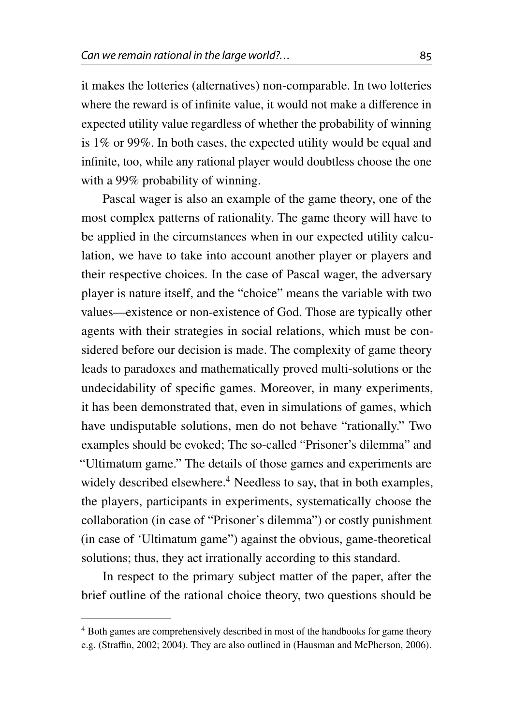it makes the lotteries (alternatives) non-comparable. In two lotteries where the reward is of infinite value, it would not make a difference in expected utility value regardless of whether the probability of winning is 1% or 99%. In both cases, the expected utility would be equal and infinite, too, while any rational player would doubtless choose the one with a 99% probability of winning.

Pascal wager is also an example of the game theory, one of the most complex patterns of rationality. The game theory will have to be applied in the circumstances when in our expected utility calculation, we have to take into account another player or players and their respective choices. In the case of Pascal wager, the adversary player is nature itself, and the "choice" means the variable with two values—existence or non-existence of God. Those are typically other agents with their strategies in social relations, which must be considered before our decision is made. The complexity of game theory leads to paradoxes and mathematically proved multi-solutions or the undecidability of specific games. Moreover, in many experiments, it has been demonstrated that, even in simulations of games, which have undisputable solutions, men do not behave "rationally." Two examples should be evoked; The so-called "Prisoner's dilemma" and "Ultimatum game." The details of those games and experiments are widely described elsewhere.<sup>[4](#page-10-0)</sup> Needless to say, that in both examples, the players, participants in experiments, systematically choose the collaboration (in case of "Prisoner's dilemma") or costly punishment (in case of 'Ultimatum game") against the obvious, game-theoretical solutions; thus, they act irrationally according to this standard.

In respect to the primary subject matter of the paper, after the brief outline of the rational choice theory, two questions should be

<span id="page-10-0"></span><sup>4</sup> Both games are comprehensively described in most of the handbooks for game theory e.g. (Straffin, [2002;](#page-29-1) [2004\)](#page-29-2). They are also outlined in (Hausman and McPherson, [2006\)](#page-27-1).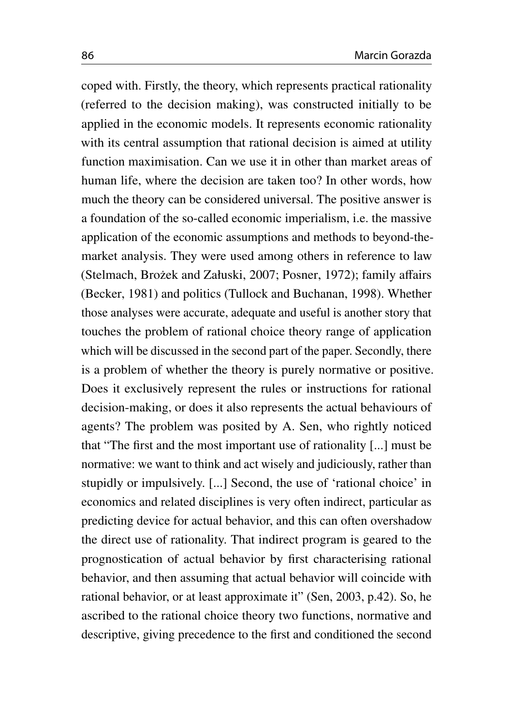coped with. Firstly, the theory, which represents practical rationality (referred to the decision making), was constructed initially to be applied in the economic models. It represents economic rationality with its central assumption that rational decision is aimed at utility function maximisation. Can we use it in other than market areas of human life, where the decision are taken too? In other words, how much the theory can be considered universal. The positive answer is a foundation of the so-called economic imperialism, i.e. the massive application of the economic assumptions and methods to beyond-themarket analysis. They were used among others in reference to law (Stelmach, Brożek and Załuski, [2007;](#page-29-3) Posner, [1972\)](#page-28-3); family affairs (Becker, [1981\)](#page-25-2) and politics (Tullock and Buchanan, [1998\)](#page-29-4). Whether those analyses were accurate, adequate and useful is another story that touches the problem of rational choice theory range of application which will be discussed in the second part of the paper. Secondly, there is a problem of whether the theory is purely normative or positive. Does it exclusively represent the rules or instructions for rational decision-making, or does it also represents the actual behaviours of agents? The problem was posited by A. Sen, who rightly noticed that "The first and the most important use of rationality [...] must be normative: we want to think and act wisely and judiciously, rather than stupidly or impulsively. [...] Second, the use of 'rational choice' in economics and related disciplines is very often indirect, particular as predicting device for actual behavior, and this can often overshadow the direct use of rationality. That indirect program is geared to the prognostication of actual behavior by first characterising rational behavior, and then assuming that actual behavior will coincide with rational behavior, or at least approximate it" (Sen, [2003,](#page-29-5) p.42). So, he ascribed to the rational choice theory two functions, normative and descriptive, giving precedence to the first and conditioned the second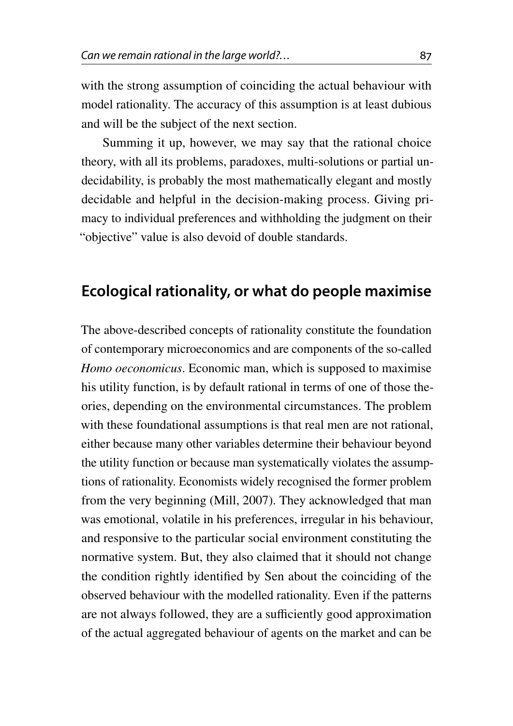with the strong assumption of coinciding the actual behaviour with model rationality. The accuracy of this assumption is at least dubious and will be the subject of the next section.

Summing it up, however, we may say that the rational choice theory, with all its problems, paradoxes, multi-solutions or partial undecidability, is probably the most mathematically elegant and mostly decidable and helpful in the decision-making process. Giving primacy to individual preferences and withholding the judgment on their "objective" value is also devoid of double standards.

### **Ecological rationality, or what do people maximise**

The above-described concepts of rationality constitute the foundation of contemporary microeconomics and are components of the so-called *Homo oeconomicus*. Economic man, which is supposed to maximise his utility function, is by default rational in terms of one of those theories, depending on the environmental circumstances. The problem with these foundational assumptions is that real men are not rational, either because many other variables determine their behaviour beyond the utility function or because man systematically violates the assumptions of rationality. Economists widely recognised the former problem from the very beginning (Mill, [2007\)](#page-28-4). They acknowledged that man was emotional, volatile in his preferences, irregular in his behaviour, and responsive to the particular social environment constituting the normative system. But, they also claimed that it should not change the condition rightly identified by Sen about the coinciding of the observed behaviour with the modelled rationality. Even if the patterns are not always followed, they are a sufficiently good approximation of the actual aggregated behaviour of agents on the market and can be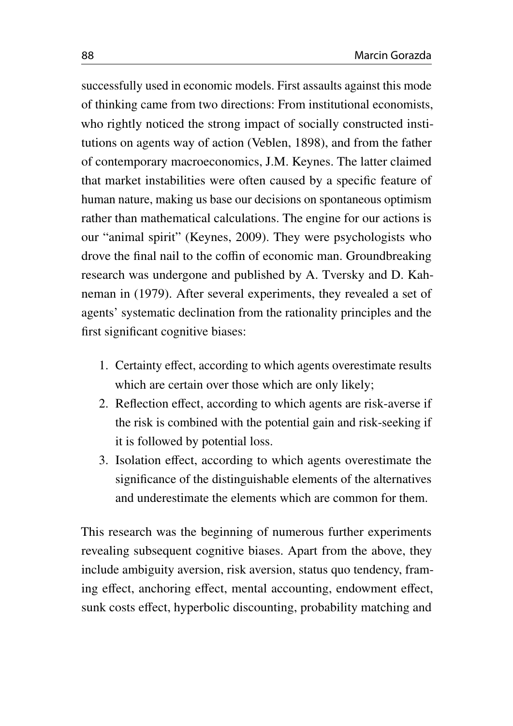successfully used in economic models. First assaults against this mode of thinking came from two directions: From institutional economists, who rightly noticed the strong impact of socially constructed institutions on agents way of action (Veblen, [1898\)](#page-29-6), and from the father of contemporary macroeconomics, J.M. Keynes. The latter claimed that market instabilities were often caused by a specific feature of human nature, making us base our decisions on spontaneous optimism rather than mathematical calculations. The engine for our actions is our "animal spirit" (Keynes, [2009\)](#page-27-4). They were psychologists who drove the final nail to the coffin of economic man. Groundbreaking research was undergone and published by A. Tversky and D. Kahneman in [\(1979\)](#page-27-5). After several experiments, they revealed a set of agents' systematic declination from the rationality principles and the first significant cognitive biases:

- 1. Certainty effect, according to which agents overestimate results which are certain over those which are only likely;
- 2. Reflection effect, according to which agents are risk-averse if the risk is combined with the potential gain and risk-seeking if it is followed by potential loss.
- 3. Isolation effect, according to which agents overestimate the significance of the distinguishable elements of the alternatives and underestimate the elements which are common for them.

This research was the beginning of numerous further experiments revealing subsequent cognitive biases. Apart from the above, they include ambiguity aversion, risk aversion, status quo tendency, framing effect, anchoring effect, mental accounting, endowment effect, sunk costs effect, hyperbolic discounting, probability matching and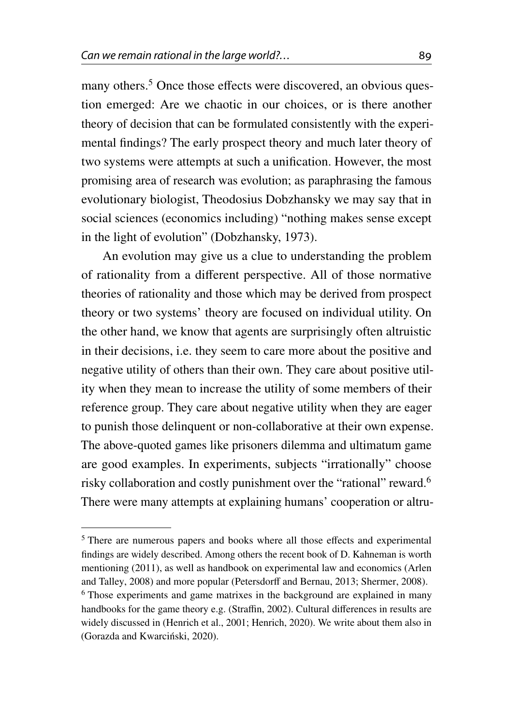many others.<sup>[5](#page-14-0)</sup> Once those effects were discovered, an obvious question emerged: Are we chaotic in our choices, or is there another theory of decision that can be formulated consistently with the experimental findings? The early prospect theory and much later theory of two systems were attempts at such a unification. However, the most promising area of research was evolution; as paraphrasing the famous evolutionary biologist, Theodosius Dobzhansky we may say that in social sciences (economics including) "nothing makes sense except in the light of evolution" (Dobzhansky, [1973\)](#page-26-4).

An evolution may give us a clue to understanding the problem of rationality from a different perspective. All of those normative theories of rationality and those which may be derived from prospect theory or two systems' theory are focused on individual utility. On the other hand, we know that agents are surprisingly often altruistic in their decisions, i.e. they seem to care more about the positive and negative utility of others than their own. They care about positive utility when they mean to increase the utility of some members of their reference group. They care about negative utility when they are eager to punish those delinquent or non-collaborative at their own expense. The above-quoted games like prisoners dilemma and ultimatum game are good examples. In experiments, subjects "irrationally" choose risky collaboration and costly punishment over the "rational" reward.[6](#page-14-1) There were many attempts at explaining humans' cooperation or altru-

<span id="page-14-1"></span><span id="page-14-0"></span><sup>5</sup> There are numerous papers and books where all those effects and experimental findings are widely described. Among others the recent book of D. Kahneman is worth mentioning [\(2011\)](#page-27-3), as well as handbook on experimental law and economics (Arlen and Talley, [2008\)](#page-25-3) and more popular (Petersdorff and Bernau, [2013;](#page-28-5) Shermer, [2008\)](#page-29-7). <sup>6</sup> Those experiments and game matrixes in the background are explained in many handbooks for the game theory e.g. (Straffin, [2002\)](#page-29-1). Cultural differences in results are widely discussed in (Henrich et al., [2001;](#page-27-6) Henrich, [2020\)](#page-27-7). We write about them also in (Gorazda and Kwarciński, [2020\)](#page-27-2).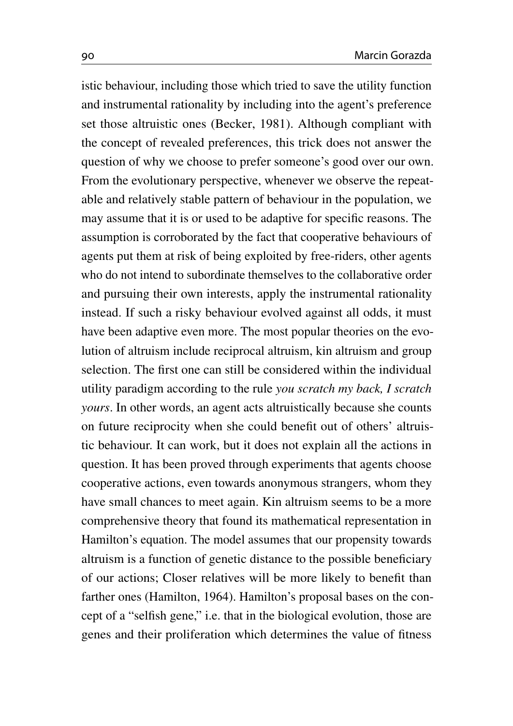istic behaviour, including those which tried to save the utility function and instrumental rationality by including into the agent's preference set those altruistic ones (Becker, [1981\)](#page-25-2). Although compliant with the concept of revealed preferences, this trick does not answer the question of why we choose to prefer someone's good over our own. From the evolutionary perspective, whenever we observe the repeatable and relatively stable pattern of behaviour in the population, we may assume that it is or used to be adaptive for specific reasons. The assumption is corroborated by the fact that cooperative behaviours of agents put them at risk of being exploited by free-riders, other agents who do not intend to subordinate themselves to the collaborative order and pursuing their own interests, apply the instrumental rationality instead. If such a risky behaviour evolved against all odds, it must have been adaptive even more. The most popular theories on the evolution of altruism include reciprocal altruism, kin altruism and group selection. The first one can still be considered within the individual utility paradigm according to the rule *you scratch my back, I scratch yours*. In other words, an agent acts altruistically because she counts on future reciprocity when she could benefit out of others' altruistic behaviour. It can work, but it does not explain all the actions in question. It has been proved through experiments that agents choose cooperative actions, even towards anonymous strangers, whom they have small chances to meet again. Kin altruism seems to be a more comprehensive theory that found its mathematical representation in Hamilton's equation. The model assumes that our propensity towards altruism is a function of genetic distance to the possible beneficiary of our actions; Closer relatives will be more likely to benefit than farther ones (Hamilton, [1964\)](#page-27-8). Hamilton's proposal bases on the concept of a "selfish gene," i.e. that in the biological evolution, those are genes and their proliferation which determines the value of fitness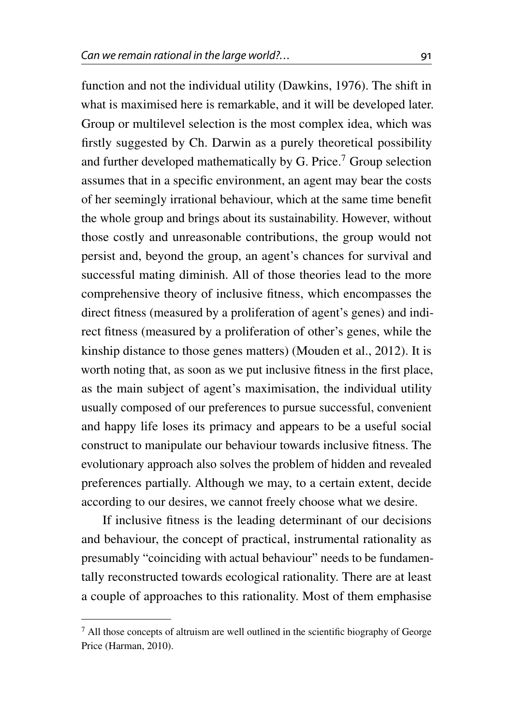function and not the individual utility (Dawkins, [1976\)](#page-25-4). The shift in what is maximised here is remarkable, and it will be developed later. Group or multilevel selection is the most complex idea, which was firstly suggested by Ch. Darwin as a purely theoretical possibility and further developed mathematically by G. Price.<sup>[7](#page-16-0)</sup> Group selection assumes that in a specific environment, an agent may bear the costs of her seemingly irrational behaviour, which at the same time benefit the whole group and brings about its sustainability. However, without those costly and unreasonable contributions, the group would not persist and, beyond the group, an agent's chances for survival and successful mating diminish. All of those theories lead to the more comprehensive theory of inclusive fitness, which encompasses the direct fitness (measured by a proliferation of agent's genes) and indirect fitness (measured by a proliferation of other's genes, while the kinship distance to those genes matters) (Mouden et al., [2012\)](#page-28-6). It is worth noting that, as soon as we put inclusive fitness in the first place, as the main subject of agent's maximisation, the individual utility usually composed of our preferences to pursue successful, convenient and happy life loses its primacy and appears to be a useful social construct to manipulate our behaviour towards inclusive fitness. The evolutionary approach also solves the problem of hidden and revealed preferences partially. Although we may, to a certain extent, decide according to our desires, we cannot freely choose what we desire.

If inclusive fitness is the leading determinant of our decisions and behaviour, the concept of practical, instrumental rationality as presumably "coinciding with actual behaviour" needs to be fundamentally reconstructed towards ecological rationality. There are at least a couple of approaches to this rationality. Most of them emphasise

<span id="page-16-0"></span> $<sup>7</sup>$  All those concepts of altruism are well outlined in the scientific biography of George</sup> Price (Harman, [2010\)](#page-27-9).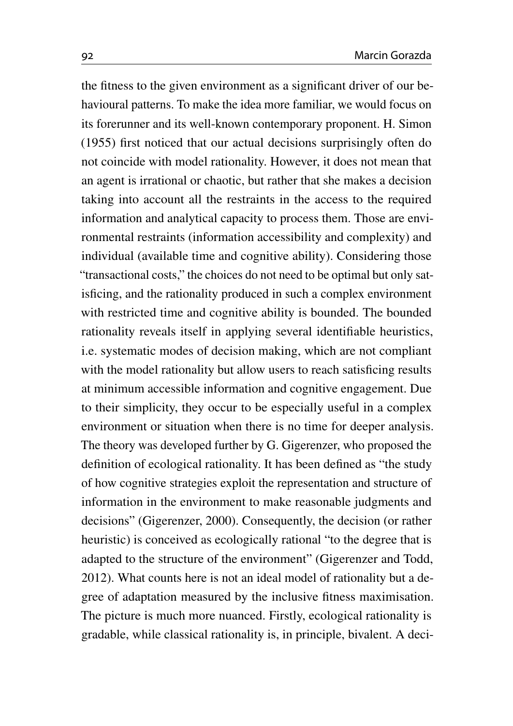the fitness to the given environment as a significant driver of our behavioural patterns. To make the idea more familiar, we would focus on its forerunner and its well-known contemporary proponent. H. Simon [\(1955\)](#page-29-8) first noticed that our actual decisions surprisingly often do not coincide with model rationality. However, it does not mean that an agent is irrational or chaotic, but rather that she makes a decision taking into account all the restraints in the access to the required information and analytical capacity to process them. Those are environmental restraints (information accessibility and complexity) and individual (available time and cognitive ability). Considering those "transactional costs," the choices do not need to be optimal but only satisficing, and the rationality produced in such a complex environment with restricted time and cognitive ability is bounded. The bounded rationality reveals itself in applying several identifiable heuristics, i.e. systematic modes of decision making, which are not compliant with the model rationality but allow users to reach satisficing results at minimum accessible information and cognitive engagement. Due to their simplicity, they occur to be especially useful in a complex environment or situation when there is no time for deeper analysis. The theory was developed further by G. Gigerenzer, who proposed the definition of ecological rationality. It has been defined as "the study of how cognitive strategies exploit the representation and structure of information in the environment to make reasonable judgments and decisions" (Gigerenzer, [2000\)](#page-26-5). Consequently, the decision (or rather heuristic) is conceived as ecologically rational "to the degree that is adapted to the structure of the environment" (Gigerenzer and Todd, [2012\)](#page-26-6). What counts here is not an ideal model of rationality but a degree of adaptation measured by the inclusive fitness maximisation. The picture is much more nuanced. Firstly, ecological rationality is gradable, while classical rationality is, in principle, bivalent. A deci-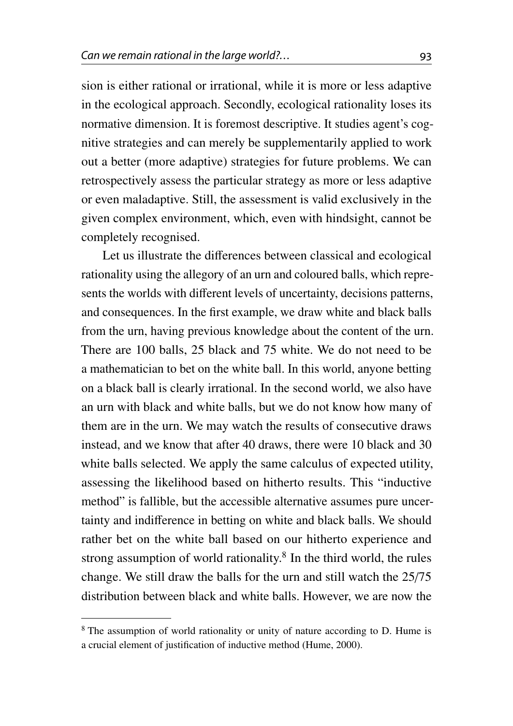sion is either rational or irrational, while it is more or less adaptive in the ecological approach. Secondly, ecological rationality loses its normative dimension. It is foremost descriptive. It studies agent's cognitive strategies and can merely be supplementarily applied to work out a better (more adaptive) strategies for future problems. We can retrospectively assess the particular strategy as more or less adaptive or even maladaptive. Still, the assessment is valid exclusively in the given complex environment, which, even with hindsight, cannot be completely recognised.

Let us illustrate the differences between classical and ecological rationality using the allegory of an urn and coloured balls, which represents the worlds with different levels of uncertainty, decisions patterns, and consequences. In the first example, we draw white and black balls from the urn, having previous knowledge about the content of the urn. There are 100 balls, 25 black and 75 white. We do not need to be a mathematician to bet on the white ball. In this world, anyone betting on a black ball is clearly irrational. In the second world, we also have an urn with black and white balls, but we do not know how many of them are in the urn. We may watch the results of consecutive draws instead, and we know that after 40 draws, there were 10 black and 30 white balls selected. We apply the same calculus of expected utility, assessing the likelihood based on hitherto results. This "inductive method" is fallible, but the accessible alternative assumes pure uncertainty and indifference in betting on white and black balls. We should rather bet on the white ball based on our hitherto experience and strong assumption of world rationality.<sup>[8](#page-18-0)</sup> In the third world, the rules change. We still draw the balls for the urn and still watch the 25/75 distribution between black and white balls. However, we are now the

<span id="page-18-0"></span><sup>&</sup>lt;sup>8</sup> The assumption of world rationality or unity of nature according to D. Hume is a crucial element of justification of inductive method (Hume, [2000\)](#page-27-10).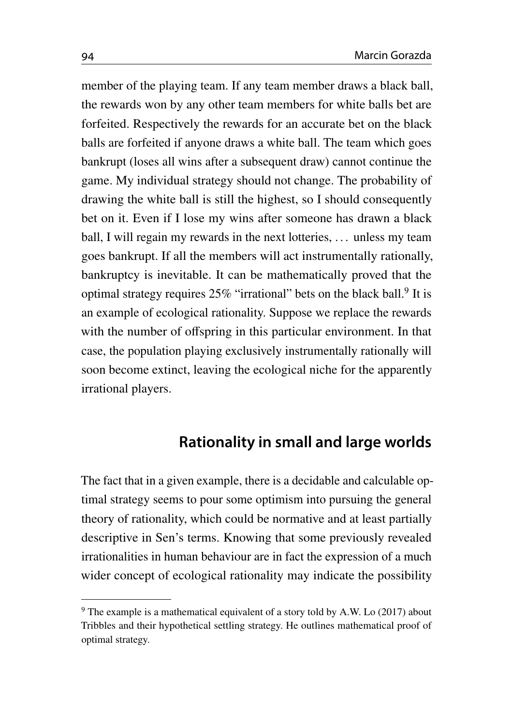member of the playing team. If any team member draws a black ball, the rewards won by any other team members for white balls bet are forfeited. Respectively the rewards for an accurate bet on the black balls are forfeited if anyone draws a white ball. The team which goes bankrupt (loses all wins after a subsequent draw) cannot continue the game. My individual strategy should not change. The probability of drawing the white ball is still the highest, so I should consequently bet on it. Even if I lose my wins after someone has drawn a black ball, I will regain my rewards in the next lotteries, ... unless my team goes bankrupt. If all the members will act instrumentally rationally, bankruptcy is inevitable. It can be mathematically proved that the optimal strategy requires 25% "irrational" bets on the black ball.<sup>[9](#page-19-0)</sup> It is an example of ecological rationality. Suppose we replace the rewards with the number of offspring in this particular environment. In that case, the population playing exclusively instrumentally rationally will soon become extinct, leaving the ecological niche for the apparently irrational players.

## **Rationality in small and large worlds**

The fact that in a given example, there is a decidable and calculable optimal strategy seems to pour some optimism into pursuing the general theory of rationality, which could be normative and at least partially descriptive in Sen's terms. Knowing that some previously revealed irrationalities in human behaviour are in fact the expression of a much wider concept of ecological rationality may indicate the possibility

<span id="page-19-0"></span> $9$  The example is a mathematical equivalent of a story told by A.W. Lo [\(2017\)](#page-28-7) about Tribbles and their hypothetical settling strategy. He outlines mathematical proof of optimal strategy.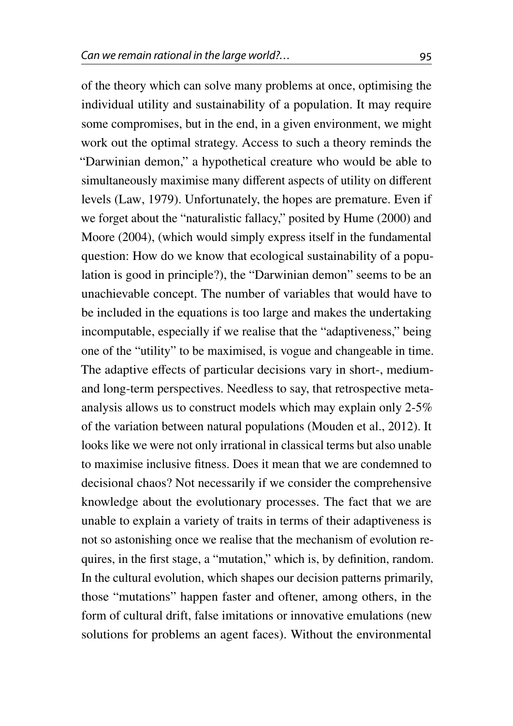of the theory which can solve many problems at once, optimising the individual utility and sustainability of a population. It may require some compromises, but in the end, in a given environment, we might work out the optimal strategy. Access to such a theory reminds the "Darwinian demon," a hypothetical creature who would be able to simultaneously maximise many different aspects of utility on different levels (Law, [1979\)](#page-28-8). Unfortunately, the hopes are premature. Even if we forget about the "naturalistic fallacy," posited by Hume [\(2000\)](#page-27-10) and Moore [\(2004\)](#page-28-9), (which would simply express itself in the fundamental question: How do we know that ecological sustainability of a population is good in principle?), the "Darwinian demon" seems to be an unachievable concept. The number of variables that would have to be included in the equations is too large and makes the undertaking incomputable, especially if we realise that the "adaptiveness," being one of the "utility" to be maximised, is vogue and changeable in time. The adaptive effects of particular decisions vary in short-, mediumand long-term perspectives. Needless to say, that retrospective metaanalysis allows us to construct models which may explain only 2-5% of the variation between natural populations (Mouden et al., [2012\)](#page-28-6). It looks like we were not only irrational in classical terms but also unable to maximise inclusive fitness. Does it mean that we are condemned to decisional chaos? Not necessarily if we consider the comprehensive knowledge about the evolutionary processes. The fact that we are unable to explain a variety of traits in terms of their adaptiveness is not so astonishing once we realise that the mechanism of evolution requires, in the first stage, a "mutation," which is, by definition, random. In the cultural evolution, which shapes our decision patterns primarily, those "mutations" happen faster and oftener, among others, in the form of cultural drift, false imitations or innovative emulations (new solutions for problems an agent faces). Without the environmental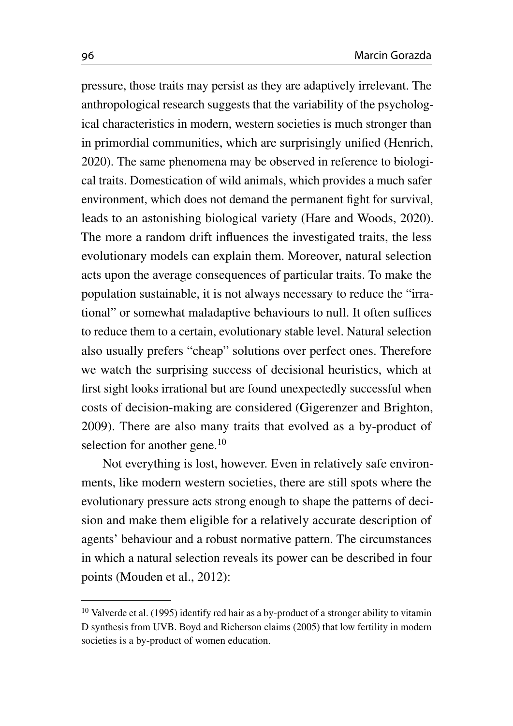pressure, those traits may persist as they are adaptively irrelevant. The anthropological research suggests that the variability of the psychological characteristics in modern, western societies is much stronger than in primordial communities, which are surprisingly unified (Henrich, [2020\)](#page-27-7). The same phenomena may be observed in reference to biological traits. Domestication of wild animals, which provides a much safer environment, which does not demand the permanent fight for survival, leads to an astonishing biological variety (Hare and Woods, [2020\)](#page-27-11). The more a random drift influences the investigated traits, the less evolutionary models can explain them. Moreover, natural selection acts upon the average consequences of particular traits. To make the population sustainable, it is not always necessary to reduce the "irrational" or somewhat maladaptive behaviours to null. It often suffices to reduce them to a certain, evolutionary stable level. Natural selection also usually prefers "cheap" solutions over perfect ones. Therefore we watch the surprising success of decisional heuristics, which at first sight looks irrational but are found unexpectedly successful when costs of decision-making are considered (Gigerenzer and Brighton, [2009\)](#page-26-7). There are also many traits that evolved as a by-product of selection for another gene.<sup>[10](#page-21-0)</sup>

Not everything is lost, however. Even in relatively safe environments, like modern western societies, there are still spots where the evolutionary pressure acts strong enough to shape the patterns of decision and make them eligible for a relatively accurate description of agents' behaviour and a robust normative pattern. The circumstances in which a natural selection reveals its power can be described in four points (Mouden et al., [2012\)](#page-28-6):

<span id="page-21-0"></span><sup>&</sup>lt;sup>10</sup> Valverde et al. [\(1995\)](#page-29-9) identify red hair as a by-product of a stronger ability to vitamin D synthesis from UVB. Boyd and Richerson claims [\(2005\)](#page-28-10) that low fertility in modern societies is a by-product of women education.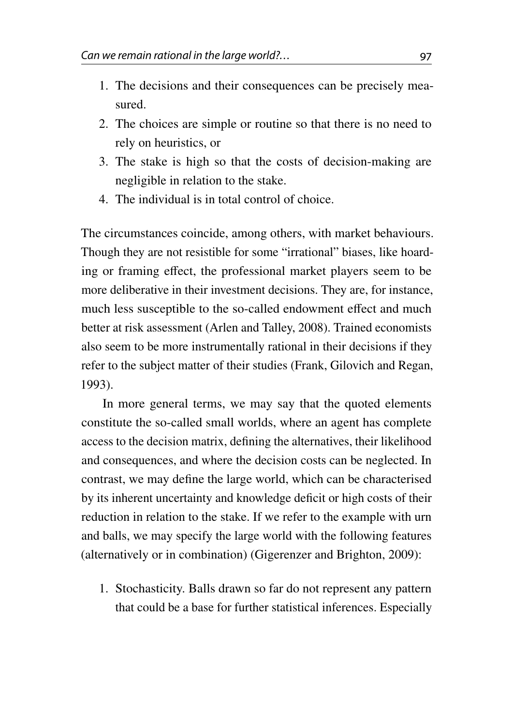- 1. The decisions and their consequences can be precisely measured.
- 2. The choices are simple or routine so that there is no need to rely on heuristics, or
- 3. The stake is high so that the costs of decision-making are negligible in relation to the stake.
- 4. The individual is in total control of choice.

The circumstances coincide, among others, with market behaviours. Though they are not resistible for some "irrational" biases, like hoarding or framing effect, the professional market players seem to be more deliberative in their investment decisions. They are, for instance, much less susceptible to the so-called endowment effect and much better at risk assessment (Arlen and Talley, [2008\)](#page-25-3). Trained economists also seem to be more instrumentally rational in their decisions if they refer to the subject matter of their studies (Frank, Gilovich and Regan, [1993\)](#page-26-8).

In more general terms, we may say that the quoted elements constitute the so-called small worlds, where an agent has complete access to the decision matrix, defining the alternatives, their likelihood and consequences, and where the decision costs can be neglected. In contrast, we may define the large world, which can be characterised by its inherent uncertainty and knowledge deficit or high costs of their reduction in relation to the stake. If we refer to the example with urn and balls, we may specify the large world with the following features (alternatively or in combination) (Gigerenzer and Brighton, [2009\)](#page-26-7):

1. Stochasticity. Balls drawn so far do not represent any pattern that could be a base for further statistical inferences. Especially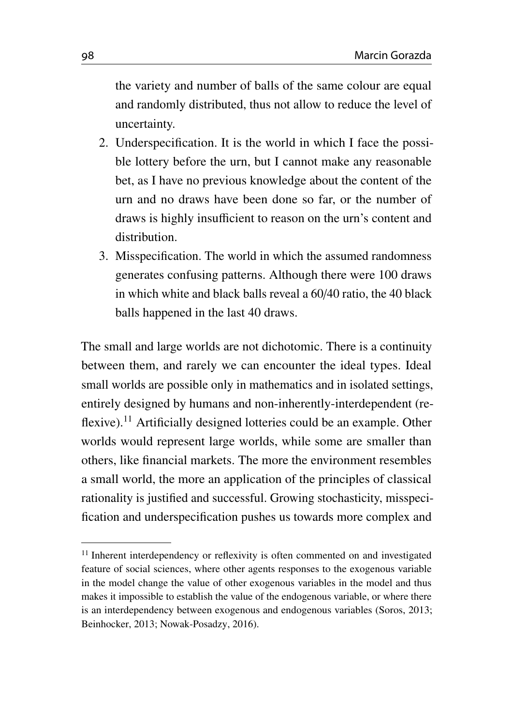the variety and number of balls of the same colour are equal and randomly distributed, thus not allow to reduce the level of uncertainty.

- 2. Underspecification. It is the world in which I face the possible lottery before the urn, but I cannot make any reasonable bet, as I have no previous knowledge about the content of the urn and no draws have been done so far, or the number of draws is highly insufficient to reason on the urn's content and distribution.
- 3. Misspecification. The world in which the assumed randomness generates confusing patterns. Although there were 100 draws in which white and black balls reveal a 60/40 ratio, the 40 black balls happened in the last 40 draws.

The small and large worlds are not dichotomic. There is a continuity between them, and rarely we can encounter the ideal types. Ideal small worlds are possible only in mathematics and in isolated settings, entirely designed by humans and non-inherently-interdependent (re-flexive).<sup>[11](#page-23-0)</sup> Artificially designed lotteries could be an example. Other worlds would represent large worlds, while some are smaller than others, like financial markets. The more the environment resembles a small world, the more an application of the principles of classical rationality is justified and successful. Growing stochasticity, misspecification and underspecification pushes us towards more complex and

<span id="page-23-0"></span><sup>&</sup>lt;sup>11</sup> Inherent interdependency or reflexivity is often commented on and investigated feature of social sciences, where other agents responses to the exogenous variable in the model change the value of other exogenous variables in the model and thus makes it impossible to establish the value of the endogenous variable, or where there is an interdependency between exogenous and endogenous variables (Soros, [2013;](#page-29-10) Beinhocker, [2013;](#page-25-5) Nowak-Posadzy, [2016\)](#page-28-11).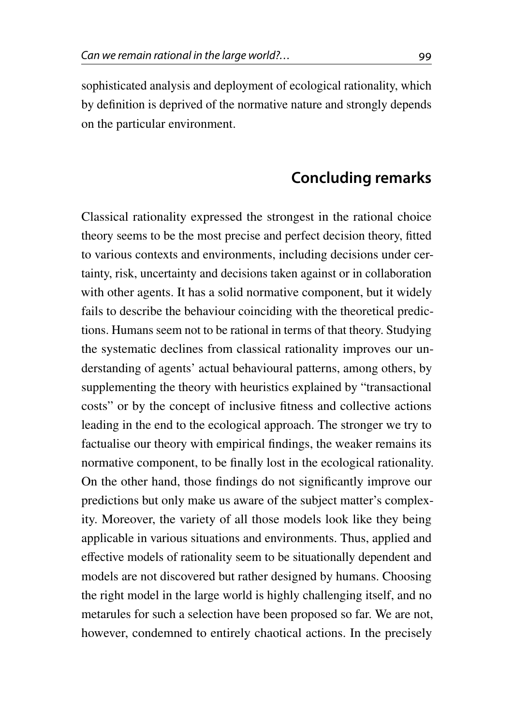sophisticated analysis and deployment of ecological rationality, which by definition is deprived of the normative nature and strongly depends on the particular environment.

#### **Concluding remarks**

Classical rationality expressed the strongest in the rational choice theory seems to be the most precise and perfect decision theory, fitted to various contexts and environments, including decisions under certainty, risk, uncertainty and decisions taken against or in collaboration with other agents. It has a solid normative component, but it widely fails to describe the behaviour coinciding with the theoretical predictions. Humans seem not to be rational in terms of that theory. Studying the systematic declines from classical rationality improves our understanding of agents' actual behavioural patterns, among others, by supplementing the theory with heuristics explained by "transactional costs" or by the concept of inclusive fitness and collective actions leading in the end to the ecological approach. The stronger we try to factualise our theory with empirical findings, the weaker remains its normative component, to be finally lost in the ecological rationality. On the other hand, those findings do not significantly improve our predictions but only make us aware of the subject matter's complexity. Moreover, the variety of all those models look like they being applicable in various situations and environments. Thus, applied and effective models of rationality seem to be situationally dependent and models are not discovered but rather designed by humans. Choosing the right model in the large world is highly challenging itself, and no metarules for such a selection have been proposed so far. We are not, however, condemned to entirely chaotical actions. In the precisely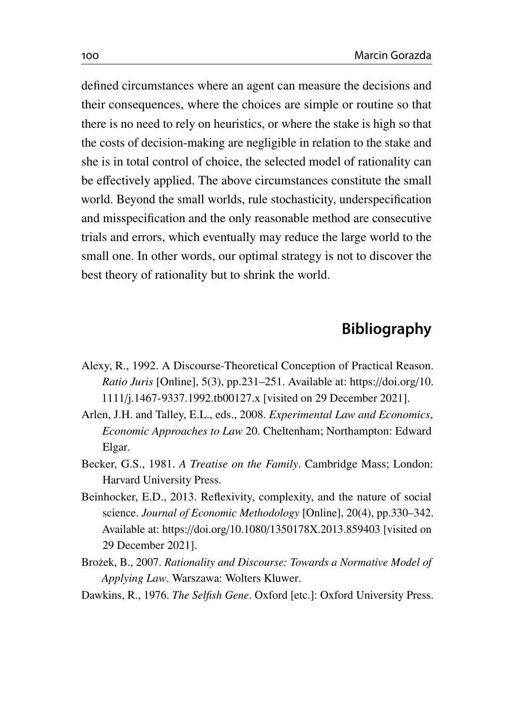defined circumstances where an agent can measure the decisions and their consequences, where the choices are simple or routine so that there is no need to rely on heuristics, or where the stake is high so that the costs of decision-making are negligible in relation to the stake and she is in total control of choice, the selected model of rationality can be effectively applied. The above circumstances constitute the small world. Beyond the small worlds, rule stochasticity, underspecification and misspecification and the only reasonable method are consecutive trials and errors, which eventually may reduce the large world to the small one. In other words, our optimal strategy is not to discover the best theory of rationality but to shrink the world.

# **Bibliography**

- <span id="page-25-1"></span>Alexy, R., 1992. A Discourse-Theoretical Conception of Practical Reason. *Ratio Juris* [Online], 5(3), pp.231–251. Available at: https://[doi.org](https://doi.org/10.1111/j.1467-9337.1992.tb00127.x)/10. 1111/[j.1467-9337.1992.tb00127.x](https://doi.org/10.1111/j.1467-9337.1992.tb00127.x) [visited on 29 December 2021].
- <span id="page-25-3"></span>Arlen, J.H. and Talley, E.L., eds., 2008. *Experimental Law and Economics*, *Economic Approaches to Law* 20. Cheltenham; Northampton: Edward Elgar.
- <span id="page-25-2"></span>Becker, G.S., 1981. *A Treatise on the Family*. Cambridge Mass; London: Harvard University Press.
- <span id="page-25-5"></span>Beinhocker, E.D., 2013. Reflexivity, complexity, and the nature of social science. *Journal of Economic Methodology* [Online], 20(4), pp.330–342. Available at: https://doi.org/10.1080/[1350178X.2013.859403](https://doi.org/10.1080/1350178X.2013.859403) [visited on 29 December 2021].
- <span id="page-25-0"></span>Bro˙zek, B., 2007. *Rationality and Discourse: Towards a Normative Model of Applying Law*. Warszawa: Wolters Kluwer.
- <span id="page-25-4"></span>Dawkins, R., 1976. *The Selfish Gene*. Oxford [etc.]: Oxford University Press.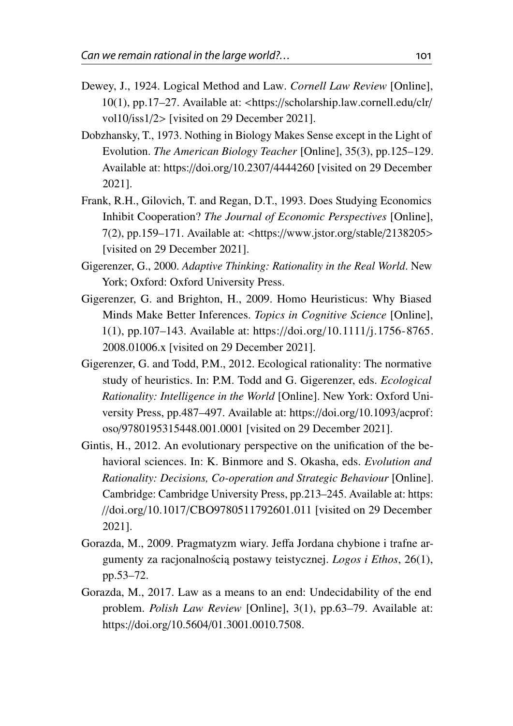- <span id="page-26-1"></span>Dewey, J., 1924. Logical Method and Law. *Cornell Law Review* [Online], 10(1), pp.17–27. Available at: <https://[scholarship.law.cornell.edu](https://scholarship.law.cornell.edu/clr/vol10/iss1/2)/clr/ [vol10](https://scholarship.law.cornell.edu/clr/vol10/iss1/2)/iss1/2> [visited on 29 December 2021].
- <span id="page-26-4"></span>Dobzhansky, T., 1973. Nothing in Biology Makes Sense except in the Light of Evolution. *The American Biology Teacher* [Online], 35(3), pp.125–129. Available at: https://doi.org/10.2307/[4444260](https://doi.org/10.2307/4444260) [visited on 29 December 2021].
- <span id="page-26-8"></span>Frank, R.H., Gilovich, T. and Regan, D.T., 1993. Does Studying Economics Inhibit Cooperation? *The Journal of Economic Perspectives* [Online], 7(2), pp.159–171. Available at: <https://[www.jstor.org](https://www.jstor.org/stable/2138205)/stable/2138205> [visited on 29 December 2021].
- <span id="page-26-5"></span>Gigerenzer, G., 2000. *Adaptive Thinking: Rationality in the Real World*. New York; Oxford: Oxford University Press.
- <span id="page-26-7"></span>Gigerenzer, G. and Brighton, H., 2009. Homo Heuristicus: Why Biased Minds Make Better Inferences. *Topics in Cognitive Science* [Online], 1(1), pp.107–143. Available at: https://doi.org/10.1111/[j.1756-8765.](https://doi.org/10.1111/j.1756-8765.2008.01006.x) [2008.01006.x](https://doi.org/10.1111/j.1756-8765.2008.01006.x) [visited on 29 December 2021].
- <span id="page-26-6"></span>Gigerenzer, G. and Todd, P.M., 2012. Ecological rationality: The normative study of heuristics. In: P.M. Todd and G. Gigerenzer, eds. *Ecological Rationality: Intelligence in the World* [Online]. New York: Oxford University Press, pp.487–497. Available at: https://doi.org/[10.1093](https://doi.org/10.1093/acprof:oso/9780195315448.001.0001)/acprof: oso/[9780195315448.001.0001](https://doi.org/10.1093/acprof:oso/9780195315448.001.0001) [visited on 29 December 2021].
- <span id="page-26-3"></span>Gintis, H., 2012. An evolutionary perspective on the unification of the behavioral sciences. In: K. Binmore and S. Okasha, eds. *Evolution and Rationality: Decisions, Co-operation and Strategic Behaviour* [Online]. Cambridge: Cambridge University Press, pp.213–245. Available at: [https:](https://doi.org/10.1017/CBO9780511792601.011) //doi.org/10.1017/[CBO9780511792601.011](https://doi.org/10.1017/CBO9780511792601.011) [visited on 29 December 2021].
- <span id="page-26-0"></span>Gorazda, M., 2009. Pragmatyzm wiary. Jeffa Jordana chybione i trafne argumenty za racjonalnością postawy teistycznej. *Logos i Ethos*, 26(1), pp.53–72.
- <span id="page-26-2"></span>Gorazda, M., 2017. Law as a means to an end: Undecidability of the end problem. *Polish Law Review* [Online], 3(1), pp.63–79. Available at: https://doi.org/10.5604/[01.3001.0010.7508.](https://doi.org/10.5604/01.3001.0010.7508)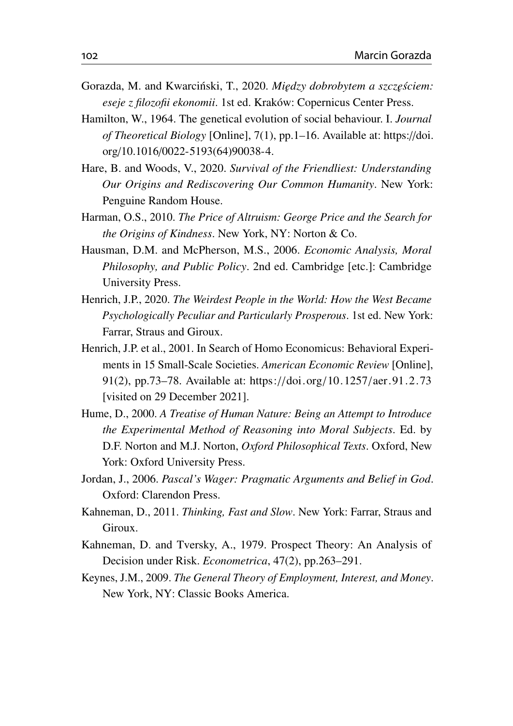- <span id="page-27-2"></span>Gorazda, M. and Kwarciński, T., 2020. *Między dobrobytem a szczęściem: eseje z filozofii ekonomii*. 1st ed. Kraków: Copernicus Center Press.
- <span id="page-27-8"></span>Hamilton, W., 1964. The genetical evolution of social behaviour. I. *Journal of Theoretical Biology* [Online], 7(1), pp.1–16. Available at: [https:](https://doi.org/10.1016/0022-5193(64)90038-4)//doi. org/10.1016/[0022-5193\(64\)90038-4.](https://doi.org/10.1016/0022-5193(64)90038-4)
- <span id="page-27-11"></span>Hare, B. and Woods, V., 2020. *Survival of the Friendliest: Understanding Our Origins and Rediscovering Our Common Humanity*. New York: Penguine Random House.
- <span id="page-27-9"></span>Harman, O.S., 2010. *The Price of Altruism: George Price and the Search for the Origins of Kindness*. New York, NY: Norton & Co.
- <span id="page-27-1"></span>Hausman, D.M. and McPherson, M.S., 2006. *Economic Analysis, Moral Philosophy, and Public Policy*. 2nd ed. Cambridge [etc.]: Cambridge University Press.
- <span id="page-27-7"></span>Henrich, J.P., 2020. *The Weirdest People in the World: How the West Became Psychologically Peculiar and Particularly Prosperous*. 1st ed. New York: Farrar, Straus and Giroux.
- <span id="page-27-6"></span>Henrich, J.P. et al., 2001. In Search of Homo Economicus: Behavioral Experiments in 15 Small-Scale Societies. *American Economic Review* [Online], 91(2), pp.73–78. Available at: https://doi.org/10.1257/[aer.91.2.73](https://doi.org/10.1257/aer.91.2.73) [visited on 29 December 2021].
- <span id="page-27-10"></span>Hume, D., 2000. *A Treatise of Human Nature: Being an Attempt to Introduce the Experimental Method of Reasoning into Moral Subjects*. Ed. by D.F. Norton and M.J. Norton, *Oxford Philosophical Texts*. Oxford, New York: Oxford University Press.
- <span id="page-27-0"></span>Jordan, J., 2006. *Pascal's Wager: Pragmatic Arguments and Belief in God*. Oxford: Clarendon Press.
- <span id="page-27-3"></span>Kahneman, D., 2011. *Thinking, Fast and Slow*. New York: Farrar, Straus and Giroux.
- <span id="page-27-5"></span>Kahneman, D. and Tversky, A., 1979. Prospect Theory: An Analysis of Decision under Risk. *Econometrica*, 47(2), pp.263–291.
- <span id="page-27-4"></span>Keynes, J.M., 2009. *The General Theory of Employment, Interest, and Money*. New York, NY: Classic Books America.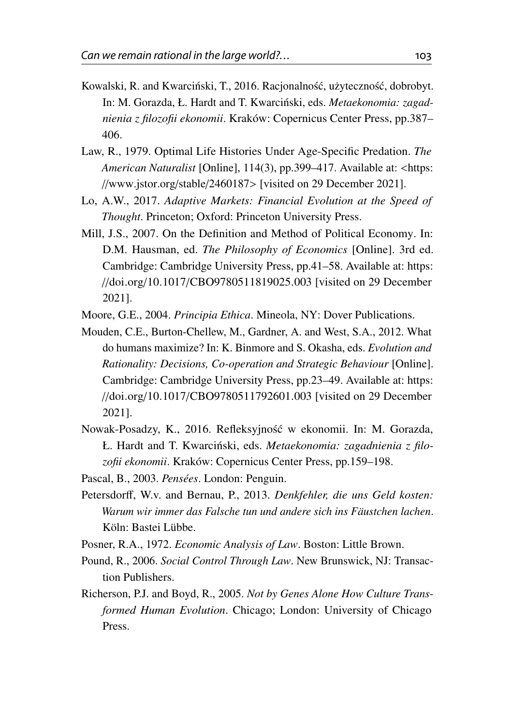- <span id="page-28-1"></span>Kowalski, R. and Kwarciński, T., 2016. Racjonalność, użyteczność, dobrobyt. In: M. Gorazda, Ł. Hardt and T. Kwarciński, eds. *Metaekonomia: zagadnienia z filozofii ekonomii*. Kraków: Copernicus Center Press, pp.387– 406.
- <span id="page-28-8"></span>Law, R., 1979. Optimal Life Histories Under Age-Specific Predation. *The American Naturalist* [Online], 114(3), pp.399–417. Available at: <[https:](https://www.jstor.org/stable/2460187) //[www.jstor.org](https://www.jstor.org/stable/2460187)/stable/2460187> [visited on 29 December 2021].
- <span id="page-28-7"></span>Lo, A.W., 2017. *Adaptive Markets: Financial Evolution at the Speed of Thought*. Princeton; Oxford: Princeton University Press.
- <span id="page-28-4"></span>Mill, J.S., 2007. On the Definition and Method of Political Economy. In: D.M. Hausman, ed. *The Philosophy of Economics* [Online]. 3rd ed. Cambridge: Cambridge University Press, pp.41–58. Available at: [https:](https://doi.org/10.1017/CBO9780511819025.003) //doi.org/10.1017/[CBO9780511819025.003](https://doi.org/10.1017/CBO9780511819025.003) [visited on 29 December 2021].
- <span id="page-28-9"></span>Moore, G.E., 2004. *Principia Ethica*. Mineola, NY: Dover Publications.
- <span id="page-28-6"></span>Mouden, C.E., Burton-Chellew, M., Gardner, A. and West, S.A., 2012. What do humans maximize? In: K. Binmore and S. Okasha, eds. *Evolution and Rationality: Decisions, Co-operation and Strategic Behaviour* [Online]. Cambridge: Cambridge University Press, pp.23–49. Available at: [https:](https://doi.org/10.1017/CBO9780511792601.003) //doi.org/10.1017/[CBO9780511792601.003](https://doi.org/10.1017/CBO9780511792601.003) [visited on 29 December 2021].
- <span id="page-28-11"></span>Nowak-Posadzy, K., 2016. Refleksyjność w ekonomii. In: M. Gorazda, Ł. Hardt and T. Kwarciński, eds. Metaekonomia: zagadnienia z filo*zofii ekonomii*. Kraków: Copernicus Center Press, pp.159–198.
- <span id="page-28-2"></span>Pascal, B., 2003. *Pensées*. London: Penguin.
- <span id="page-28-5"></span>Petersdorff, W.v. and Bernau, P., 2013. *Denkfehler, die uns Geld kosten: Warum wir immer das Falsche tun und andere sich ins Fäustchen lachen*. Köln: Bastei Lübbe.
- <span id="page-28-3"></span>Posner, R.A., 1972. *Economic Analysis of Law*. Boston: Little Brown.
- <span id="page-28-0"></span>Pound, R., 2006. *Social Control Through Law*. New Brunswick, NJ: Transaction Publishers.
- <span id="page-28-10"></span>Richerson, P.J. and Boyd, R., 2005. *Not by Genes Alone How Culture Transformed Human Evolution*. Chicago; London: University of Chicago Press.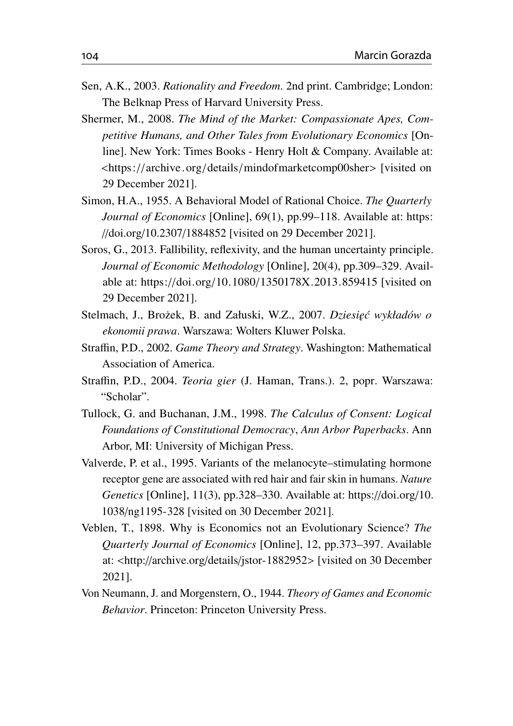- <span id="page-29-5"></span>Sen, A.K., 2003. *Rationality and Freedom*. 2nd print. Cambridge; London: The Belknap Press of Harvard University Press.
- <span id="page-29-7"></span>Shermer, M., 2008. *The Mind of the Market: Compassionate Apes, Competitive Humans, and Other Tales from Evolutionary Economics* [Online]. New York: Times Books - Henry Holt & Company. Available at: <https://archive.org/details/[mindofmarketcomp00sher](https://archive.org/details/mindofmarketcomp00sher)> [visited on 29 December 2021].
- <span id="page-29-8"></span>Simon, H.A., 1955. A Behavioral Model of Rational Choice. *The Quarterly Journal of Economics* [Online], 69(1), pp.99–118. Available at: [https:](https://doi.org/10.2307/1884852) //doi.org/10.2307/[1884852](https://doi.org/10.2307/1884852) [visited on 29 December 2021].
- <span id="page-29-10"></span>Soros, G., 2013. Fallibility, reflexivity, and the human uncertainty principle. *Journal of Economic Methodology* [Online], 20(4), pp.309–329. Available at: https://doi.org/10.1080/[1350178X.2013.859415](https://doi.org/10.1080/1350178X.2013.859415) [visited on 29 December 2021].
- <span id="page-29-3"></span>Stelmach, J., Brożek, B. and Załuski, W.Z., 2007. *Dziesięć wykładów o ekonomii prawa*. Warszawa: Wolters Kluwer Polska.
- <span id="page-29-1"></span>Straffin, P.D., 2002. *Game Theory and Strategy*. Washington: Mathematical Association of America.
- <span id="page-29-2"></span>Straffin, P.D., 2004. *Teoria gier* (J. Haman, Trans.). 2, popr. Warszawa: "Scholar".
- <span id="page-29-4"></span>Tullock, G. and Buchanan, J.M., 1998. *The Calculus of Consent: Logical Foundations of Constitutional Democracy*, *Ann Arbor Paperbacks*. Ann Arbor, MI: University of Michigan Press.
- <span id="page-29-9"></span>Valverde, P. et al., 1995. Variants of the melanocyte–stimulating hormone receptor gene are associated with red hair and fair skin in humans. *Nature Genetics* [Online], 11(3), pp.328–330. Available at: https://[doi.org](https://doi.org/10.1038/ng1195-328)/10. 1038/[ng1195-328](https://doi.org/10.1038/ng1195-328) [visited on 30 December 2021].
- <span id="page-29-6"></span>Veblen, T., 1898. Why is Economics not an Evolutionary Science? *The Quarterly Journal of Economics* [Online], 12, pp.373–397. Available at: <http://archive.org/details/[jstor-1882952](http://archive.org/details/jstor-1882952)> [visited on 30 December 2021].
- <span id="page-29-0"></span>Von Neumann, J. and Morgenstern, O., 1944. *Theory of Games and Economic Behavior*. Princeton: Princeton University Press.